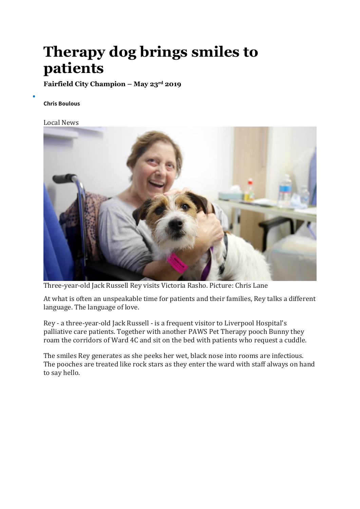## **Therapy dog brings smiles to patients**

**Fairfield City Champion – May 23rd 2019**

## **Chris [Boulous](https://www.fairfieldchampion.com.au/profile/260/chris-boulous)**

•

## Local [News](https://www.fairfieldchampion.com.au/news/local-news/)



Three-year-old Jack Russell Rey visits Victoria Rasho. Picture: Chris Lane

At what is often an unspeakable time for patients and their families, Rey talks a different language. The language of love.

Rey - a three-year-old Jack Russell - is a frequent visitor to Liverpool Hospital's palliative care patients. Together with another PAWS Pet Therapy pooch Bunny they roam the corridors of Ward 4C and sit on the bed with patients who request a cuddle.

The smiles Rey generates as she peeks her wet, black nose into rooms are infectious. The pooches are treated like rock stars as they enter the ward with staff always on hand to say hello.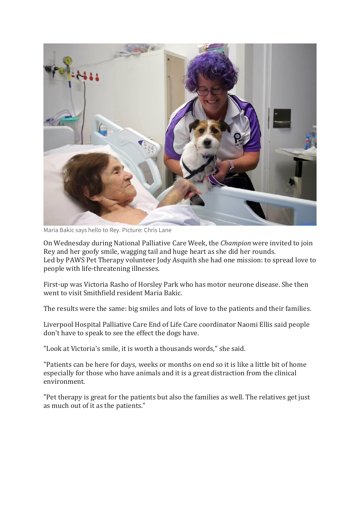

Maria Bakic says hello to Rey. Picture: Chris Lane

On Wednesday during National Palliative Care Week, the *Champion* were invited to join Rey and her goofy smile, wagging tail and huge heart as she did her rounds. Led by PAWS Pet Therapy volunteer Jody Asquith she had one mission: to spread love to people with life-threatening illnesses.

First-up was Victoria Rasho of Horsley Park who has motor neurone disease. She then went to visit Smithfield resident Maria Bakic.

The results were the same: big smiles and lots of love to the patients and their families.

Liverpool Hospital Palliative Care End of Life Care coordinator Naomi Ellis said people don't have to speak to see the effect the dogs have.

"Look at Victoria's smile, it is worth a thousands words," she said.

"Patients can be here for days, weeks or months on end so it is like a little bit of home especially for those who have animals and it is a great distraction from the clinical environment.

"Pet therapy is great for the patients but also the families as well. The relatives get just as much out of it as the patients."